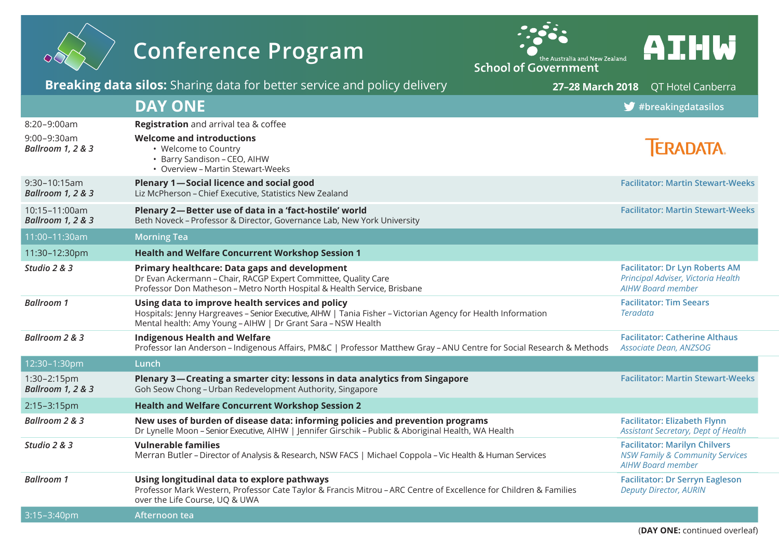|                                                                 | <b>Conference Program</b>                                                                                                                                                                                                         | the Australia and New Zealand<br><b>School of Government</b> | AIHW                                                                                                           |
|-----------------------------------------------------------------|-----------------------------------------------------------------------------------------------------------------------------------------------------------------------------------------------------------------------------------|--------------------------------------------------------------|----------------------------------------------------------------------------------------------------------------|
|                                                                 | <b>Breaking data silos:</b> Sharing data for better service and policy delivery                                                                                                                                                   | 27-28 March 2018                                             | QT Hotel Canberra                                                                                              |
|                                                                 | <b>DAY ONE</b>                                                                                                                                                                                                                    |                                                              | $\blacktriangleright$ #breakingdatasilos                                                                       |
| 8:20-9:00am<br>$9:00 - 9:30$ am<br><b>Ballroom 1, 2 &amp; 3</b> | Registration and arrival tea & coffee<br><b>Welcome and introductions</b><br>• Welcome to Country<br>• Barry Sandison - CEO, AIHW<br>• Overview - Martin Stewart-Weeks                                                            |                                                              | <b>TERADATA.</b>                                                                                               |
| $9:30 - 10:15am$<br><b>Ballroom 1, 2 &amp; 3</b>                | <b>Plenary 1-Social licence and social good</b><br>Liz McPherson - Chief Executive, Statistics New Zealand                                                                                                                        |                                                              | <b>Facilitator: Martin Stewart-Weeks</b>                                                                       |
| 10:15-11:00am<br><b>Ballroom 1, 2 &amp; 3</b>                   | Plenary 2-Better use of data in a 'fact-hostile' world<br>Beth Noveck - Professor & Director, Governance Lab, New York University                                                                                                 |                                                              | <b>Facilitator: Martin Stewart-Weeks</b>                                                                       |
| 11:00-11:30am                                                   | <b>Morning Tea</b>                                                                                                                                                                                                                |                                                              |                                                                                                                |
| 11:30-12:30pm                                                   | <b>Health and Welfare Concurrent Workshop Session 1</b>                                                                                                                                                                           |                                                              |                                                                                                                |
| Studio 2 & 3                                                    | Primary healthcare: Data gaps and development<br>Dr Evan Ackermann - Chair, RACGP Expert Committee, Quality Care<br>Professor Don Matheson - Metro North Hospital & Health Service, Brisbane                                      |                                                              | <b>Facilitator: Dr Lyn Roberts AM</b><br>Principal Adviser, Victoria Health<br><b>AIHW Board member</b>        |
| <b>Ballroom 1</b>                                               | Using data to improve health services and policy<br>Hospitals: Jenny Hargreaves - Senior Executive, AlHW   Tania Fisher - Victorian Agency for Health Information<br>Mental health: Amy Young - AIHW   Dr Grant Sara - NSW Health |                                                              | <b>Facilitator: Tim Seears</b><br><b>Teradata</b>                                                              |
| Ballroom 2 & 3                                                  | <b>Indigenous Health and Welfare</b><br>Professor Ian Anderson - Indigenous Affairs, PM&C   Professor Matthew Gray - ANU Centre for Social Research & Methods                                                                     |                                                              | <b>Facilitator: Catherine Althaus</b><br>Associate Dean, ANZSOG                                                |
| 12:30-1:30pm                                                    | Lunch                                                                                                                                                                                                                             |                                                              |                                                                                                                |
| $1:30-2:15$ pm<br><b>Ballroom 1, 2 &amp; 3</b>                  | Plenary 3—Creating a smarter city: lessons in data analytics from Singapore<br>Goh Seow Chong - Urban Redevelopment Authority, Singapore                                                                                          |                                                              | <b>Facilitator: Martin Stewart-Weeks</b>                                                                       |
| 2:15-3:15pm                                                     | <b>Health and Welfare Concurrent Workshop Session 2</b>                                                                                                                                                                           |                                                              |                                                                                                                |
| Ballroom 2 & 3                                                  | New uses of burden of disease data: informing policies and prevention programs<br>Dr Lynelle Moon - Senior Executive, AIHW   Jennifer Girschik - Public & Aboriginal Health, WA Health                                            |                                                              | <b>Facilitator: Elizabeth Flynn</b><br>Assistant Secretary, Dept of Health                                     |
| Studio 2 & 3                                                    | <b>Vulnerable families</b><br>Merran Butler - Director of Analysis & Research, NSW FACS   Michael Coppola - Vic Health & Human Services                                                                                           |                                                              | <b>Facilitator: Marilyn Chilvers</b><br><b>NSW Family &amp; Community Services</b><br><b>AIHW Board member</b> |
| <b>Ballroom 1</b>                                               | Using longitudinal data to explore pathways<br>Professor Mark Western, Professor Cate Taylor & Francis Mitrou - ARC Centre of Excellence for Children & Families<br>over the Life Course, UQ & UWA                                |                                                              | <b>Facilitator: Dr Serryn Eagleson</b><br><b>Deputy Director, AURIN</b>                                        |
| $3:15 - 3:40$ pm                                                | Afternoon tea                                                                                                                                                                                                                     |                                                              |                                                                                                                |

(**DAY ONE:** continued overleaf)